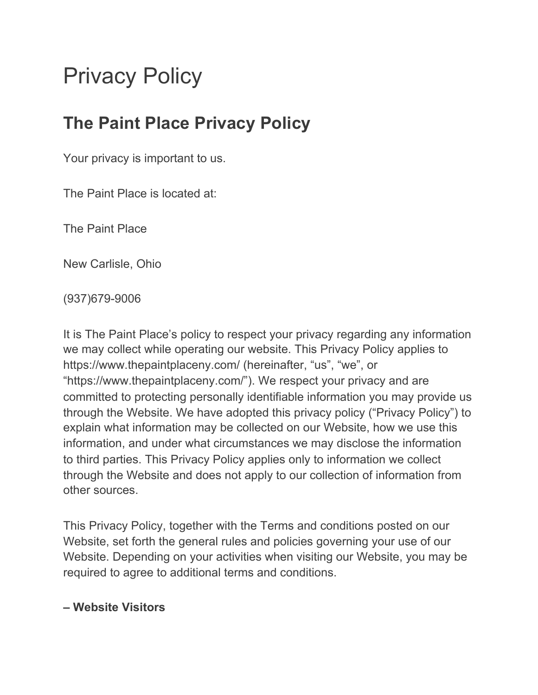# Privacy Policy

# **The Paint Place Privacy Policy**

Your privacy is important to us.

The Paint Place is located at:

The Paint Place

New Carlisle, Ohio

(937)679-9006

It is The Paint Place's policy to respect your privacy regarding any information we may collect while operating our website. This Privacy Policy applies to https://www.thepaintplaceny.com/ (hereinafter, "us", "we", or "https://www.thepaintplaceny.com/"). We respect your privacy and are committed to protecting personally identifiable information you may provide us through the Website. We have adopted this privacy policy ("Privacy Policy") to explain what information may be collected on our Website, how we use this information, and under what circumstances we may disclose the information to third parties. This Privacy Policy applies only to information we collect through the Website and does not apply to our collection of information from other sources.

This Privacy Policy, together with the Terms and conditions posted on our Website, set forth the general rules and policies governing your use of our Website. Depending on your activities when visiting our Website, you may be required to agree to additional terms and conditions.

#### **– Website Visitors**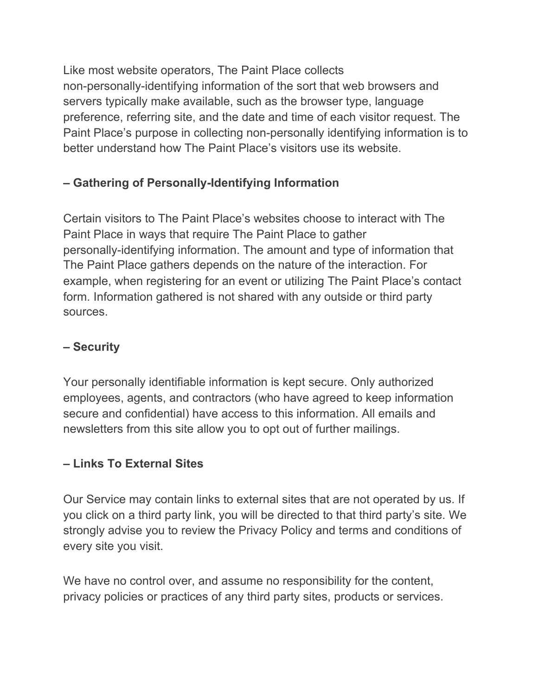Like most website operators, The Paint Place collects non-personally-identifying information of the sort that web browsers and servers typically make available, such as the browser type, language preference, referring site, and the date and time of each visitor request. The Paint Place's purpose in collecting non-personally identifying information is to better understand how The Paint Place's visitors use its website.

### **– Gathering of Personally-Identifying Information**

Certain visitors to The Paint Place's websites choose to interact with The Paint Place in ways that require The Paint Place to gather personally-identifying information. The amount and type of information that The Paint Place gathers depends on the nature of the interaction. For example, when registering for an event or utilizing The Paint Place's contact form. Information gathered is not shared with any outside or third party sources.

#### **– Security**

Your personally identifiable information is kept secure. Only authorized employees, agents, and contractors (who have agreed to keep information secure and confidential) have access to this information. All emails and newsletters from this site allow you to opt out of further mailings.

#### **– Links To External Sites**

Our Service may contain links to external sites that are not operated by us. If you click on a third party link, you will be directed to that third party's site. We strongly advise you to review the Privacy Policy and terms and conditions of every site you visit.

We have no control over, and assume no responsibility for the content, privacy policies or practices of any third party sites, products or services.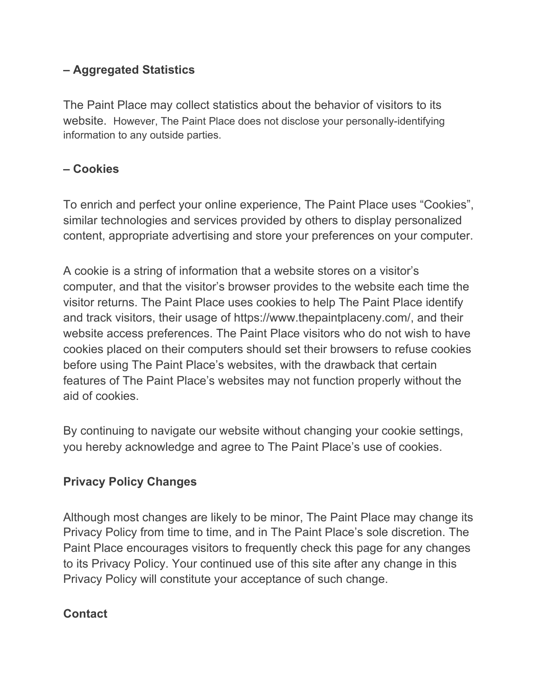#### **– Aggregated Statistics**

The Paint Place may collect statistics about the behavior of visitors to its website. However, The Paint Place does not disclose your personally-identifying information to any outside parties.

#### **– Cookies**

To enrich and perfect your online experience, The Paint Place uses "Cookies", similar technologies and services provided by others to display personalized content, appropriate advertising and store your preferences on your computer.

A cookie is a string of information that a website stores on a visitor's computer, and that the visitor's browser provides to the website each time the visitor returns. The Paint Place uses cookies to help The Paint Place identify and track visitors, their usage of https://www.thepaintplaceny.com/, and their website access preferences. The Paint Place visitors who do not wish to have cookies placed on their computers should set their browsers to refuse cookies before using The Paint Place's websites, with the drawback that certain features of The Paint Place's websites may not function properly without the aid of cookies.

By continuing to navigate our website without changing your cookie settings, you hereby acknowledge and agree to The Paint Place's use of cookies.

## **Privacy Policy Changes**

Although most changes are likely to be minor, The Paint Place may change its Privacy Policy from time to time, and in The Paint Place's sole discretion. The Paint Place encourages visitors to frequently check this page for any changes to its Privacy Policy. Your continued use of this site after any change in this Privacy Policy will constitute your acceptance of such change.

#### **Contact**